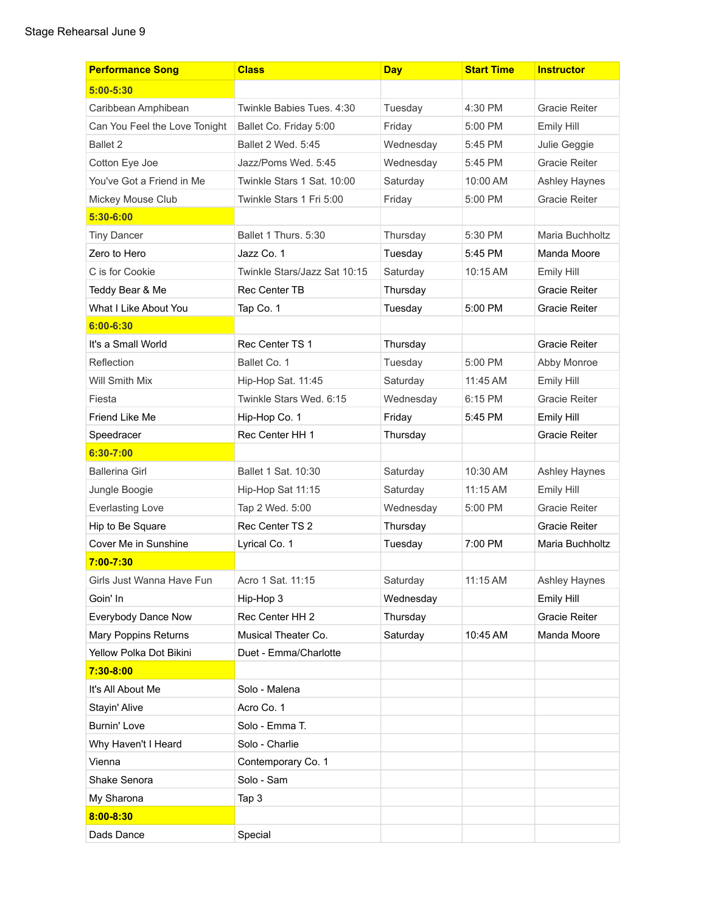| <b>Performance Song</b>       | <b>Class</b>                 | <b>Day</b> | <b>Start Time</b> | <b>Instructor</b>    |
|-------------------------------|------------------------------|------------|-------------------|----------------------|
| $5:00 - 5:30$                 |                              |            |                   |                      |
| Caribbean Amphibean           | Twinkle Babies Tues, 4:30    | Tuesday    | 4:30 PM           | <b>Gracie Reiter</b> |
| Can You Feel the Love Tonight | Ballet Co. Friday 5:00       | Friday     | 5:00 PM           | Emily Hill           |
| Ballet 2                      | Ballet 2 Wed. 5:45           | Wednesday  | 5:45 PM           | Julie Geggie         |
| Cotton Eye Joe                | Jazz/Poms Wed. 5:45          | Wednesday  | 5:45 PM           | <b>Gracie Reiter</b> |
| You've Got a Friend in Me     | Twinkle Stars 1 Sat. 10:00   | Saturday   | 10:00 AM          | Ashley Haynes        |
| Mickey Mouse Club             | Twinkle Stars 1 Fri 5:00     | Friday     | 5:00 PM           | Gracie Reiter        |
| $5:30 - 6:00$                 |                              |            |                   |                      |
| <b>Tiny Dancer</b>            | Ballet 1 Thurs, 5:30         | Thursday   | 5:30 PM           | Maria Buchholtz      |
| Zero to Hero                  | Jazz Co. 1                   | Tuesday    | 5:45 PM           | Manda Moore          |
| C is for Cookie               | Twinkle Stars/Jazz Sat 10:15 | Saturday   | 10:15 AM          | Emily Hill           |
| Teddy Bear & Me               | <b>Rec Center TB</b>         | Thursday   |                   | Gracie Reiter        |
| What I Like About You         | Tap Co. 1                    | Tuesday    | 5:00 PM           | Gracie Reiter        |
| $6:00 - 6:30$                 |                              |            |                   |                      |
| It's a Small World            | Rec Center TS 1              | Thursday   |                   | Gracie Reiter        |
| Reflection                    | Ballet Co. 1                 | Tuesday    | 5:00 PM           | Abby Monroe          |
| <b>Will Smith Mix</b>         | Hip-Hop Sat. 11:45           | Saturday   | 11:45 AM          | Emily Hill           |
| Fiesta                        | Twinkle Stars Wed. 6:15      | Wednesday  | 6:15 PM           | Gracie Reiter        |
| Friend Like Me                | Hip-Hop Co. 1                | Friday     | 5:45 PM           | Emily Hill           |
| Speedracer                    | Rec Center HH 1              | Thursday   |                   | Gracie Reiter        |
| $6:30 - 7:00$                 |                              |            |                   |                      |
| <b>Ballerina Girl</b>         | Ballet 1 Sat. 10:30          | Saturday   | 10:30 AM          | Ashley Haynes        |
| Jungle Boogie                 | Hip-Hop Sat 11:15            | Saturday   | $11:15$ AM        | Emily Hill           |
| <b>Everlasting Love</b>       | Tap 2 Wed. 5:00              | Wednesday  | 5:00 PM           | Gracie Reiter        |
| Hip to Be Square              | Rec Center TS 2              | Thursday   |                   | Gracie Reiter        |
| Cover Me in Sunshine          | Lyrical Co. 1                | Tuesday    | 7:00 PM           | Maria Buchholtz      |
| $7:00 - 7:30$                 |                              |            |                   |                      |
| Girls Just Wanna Have Fun     | Acro 1 Sat. 11:15            | Saturday   | 11:15 AM          | Ashley Haynes        |
| Goin' In                      | Hip-Hop 3                    | Wednesday  |                   | Emily Hill           |
| Everybody Dance Now           | Rec Center HH 2              | Thursday   |                   | Gracie Reiter        |
| Mary Poppins Returns          | Musical Theater Co.          | Saturday   | 10:45 AM          | Manda Moore          |
| Yellow Polka Dot Bikini       | Duet - Emma/Charlotte        |            |                   |                      |
| 7:30-8:00                     |                              |            |                   |                      |
| It's All About Me             | Solo - Malena                |            |                   |                      |
| Stayin' Alive                 | Acro Co. 1                   |            |                   |                      |
| Burnin' Love                  | Solo - Emma T.               |            |                   |                      |
| Why Haven't I Heard           | Solo - Charlie               |            |                   |                      |
| Vienna                        | Contemporary Co. 1           |            |                   |                      |
| Shake Senora                  | Solo - Sam                   |            |                   |                      |
| My Sharona                    | Tap 3                        |            |                   |                      |
| $8:00 - 8:30$                 |                              |            |                   |                      |
| Dads Dance                    | Special                      |            |                   |                      |